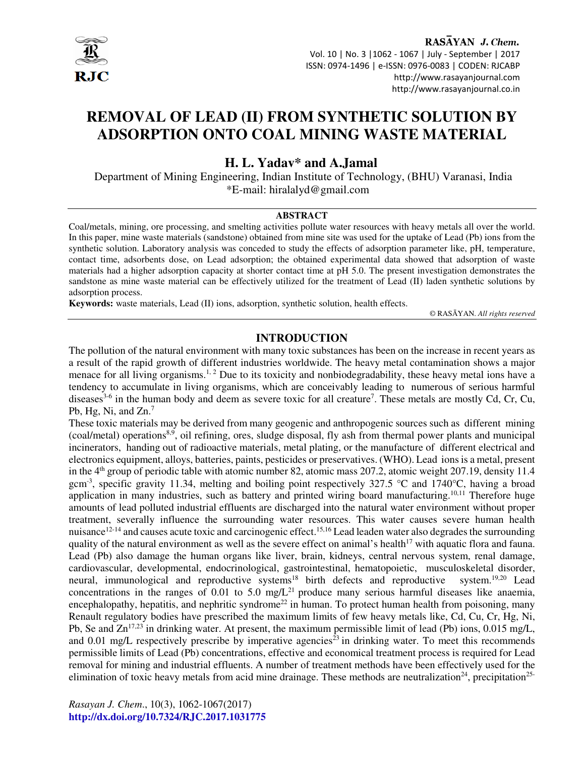

RASAYAN J. Chem. Vol. 10 | No. 3 |1062 - 1067 | July - September | 2017 ISSN: 0974-1496 | e-ISSN: 0976-0083 | CODEN: RJCABP http://www.rasayanjournal.com http://www.rasayanjournal.co.in

# **REMOVAL OF LEAD (II) FROM SYNTHETIC SOLUTION BY ADSORPTION ONTO COAL MINING WASTE MATERIAL**

# **H. L. Yadav\* and A.Jamal**

 Department of Mining Engineering, Indian Institute of Technology, (BHU) Varanasi, India \*E-mail: hiralalyd@gmail.com

### **ABSTRACT**

Coal/metals, mining, ore processing, and smelting activities pollute water resources with heavy metals all over the world. In this paper, mine waste materials (sandstone) obtained from mine site was used for the uptake of Lead (Pb) ions from the synthetic solution. Laboratory analysis was conceded to study the effects of adsorption parameter like, pH, temperature, contact time, adsorbents dose, on Lead adsorption; the obtained experimental data showed that adsorption of waste materials had a higher adsorption capacity at shorter contact time at pH 5.0. The present investigation demonstrates the sandstone as mine waste material can be effectively utilized for the treatment of Lead (II) laden synthetic solutions by adsorption process.

**Keywords:** waste materials, Lead (II) ions, adsorption, synthetic solution, health effects.

© RASĀYAN. *All rights reserved*

# **INTRODUCTION**

The pollution of the natural environment with many toxic substances has been on the increase in recent years as a result of the rapid growth of different industries worldwide. The heavy metal contamination shows a major menace for all living organisms.<sup>1, 2</sup> Due to its toxicity and nonbiodegradability, these heavy metal ions have a tendency to accumulate in living organisms, which are conceivably leading to numerous of serious harmful diseases<sup>3-6</sup> in the human body and deem as severe toxic for all creature<sup>7</sup>. These metals are mostly Cd, Cr, Cu, Pb, Hg, Ni, and Zn.<sup>7</sup>

These toxic materials may be derived from many geogenic and anthropogenic sources such as different mining (coal/metal) operations8,9, oil refining, ores, sludge disposal, fly ash from thermal power plants and municipal incinerators, handing out of radioactive materials, metal plating, or the manufacture of different electrical and electronics equipment, alloys, batteries, paints, pesticides or preservatives. (WHO). Lead ions is a metal, present in the  $4<sup>th</sup>$  group of periodic table with atomic number 82, atomic mass 207.2, atomic weight 207.19, density 11.4 gcm-3, specific gravity 11.34, melting and boiling point respectively 327.5 °C and 1740°C, having a broad application in many industries, such as battery and printed wiring board manufacturing.<sup>10,11</sup> Therefore huge amounts of lead polluted industrial effluents are discharged into the natural water environment without proper treatment, severally influence the surrounding water resources. This water causes severe human health nuisance<sup>12-14</sup> and causes acute toxic and carcinogenic effect.<sup>15,16</sup> Lead leaden water also degrades the surrounding quality of the natural environment as well as the severe effect on animal's health<sup>17</sup> with aquatic flora and fauna. Lead (Pb) also damage the human organs like liver, brain, kidneys, central nervous system, renal damage, cardiovascular, developmental, endocrinological, gastrointestinal, hematopoietic, musculoskeletal disorder, neural, immunological and reproductive systems<sup>18</sup> birth defects and reproductive system.<sup>19,20</sup> Lead concentrations in the ranges of 0.01 to 5.0 mg/ $L^{21}$  produce many serious harmful diseases like anaemia, encephalopathy, hepatitis, and nephritic syndrome<sup>22</sup> in human. To protect human health from poisoning, many Renault regulatory bodies have prescribed the maximum limits of few heavy metals like, Cd, Cu, Cr, Hg, Ni, Pb, Se and Zn<sup>17,23</sup> in drinking water. At present, the maximum permissible limit of lead (Pb) ions, 0.015 mg/L, and 0.01 mg/L respectively prescribe by imperative agencies<sup>23</sup> in drinking water. To meet this recommends permissible limits of Lead (Pb) concentrations, effective and economical treatment process is required for Lead removal for mining and industrial effluents. A number of treatment methods have been effectively used for the elimination of toxic heavy metals from acid mine drainage. These methods are neutralization<sup>24</sup>, precipitation<sup>25-</sup>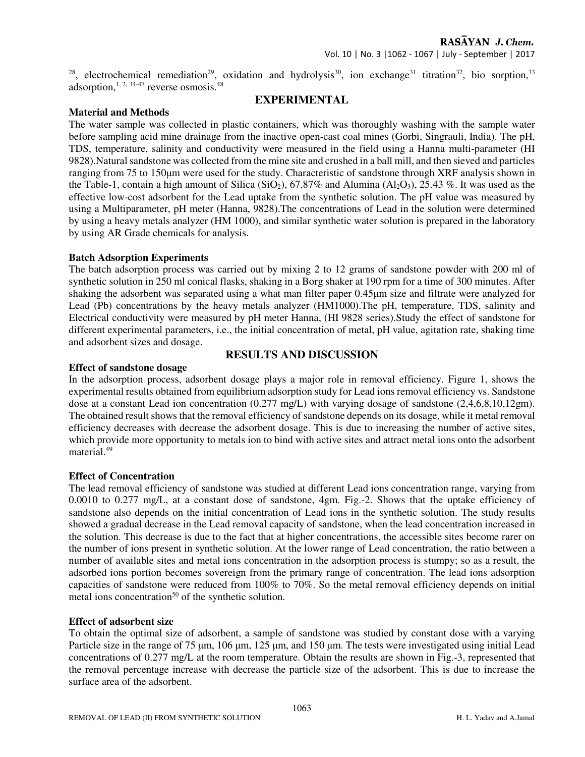<sup>28</sup>, electrochemical remediation<sup>29</sup>, oxidation and hydrolysis<sup>30</sup>, ion exchange<sup>31</sup> titration<sup>32</sup>, bio sorption,<sup>33</sup> adsorption,  $1, 2, 34-47$  reverse osmosis.  $48$ 

# **EXPERIMENTAL**

## **Material and Methods**

The water sample was collected in plastic containers, which was thoroughly washing with the sample water before sampling acid mine drainage from the inactive open-cast coal mines (Gorbi, Singrauli, India). The pH, TDS, temperature, salinity and conductivity were measured in the field using a Hanna multi-parameter (HI 9828).Natural sandstone was collected from the mine site and crushed in a ball mill, and then sieved and particles ranging from 75 to 150µm were used for the study. Characteristic of sandstone through XRF analysis shown in the Table-1, contain a high amount of Silica (SiO<sub>2</sub>), 67.87% and Alumina (Al<sub>2</sub>O<sub>3</sub>), 25.43 %. It was used as the effective low-cost adsorbent for the Lead uptake from the synthetic solution. The pH value was measured by using a Multiparameter, pH meter (Hanna, 9828).The concentrations of Lead in the solution were determined by using a heavy metals analyzer (HM 1000), and similar synthetic water solution is prepared in the laboratory by using AR Grade chemicals for analysis.

### **Batch Adsorption Experiments**

The batch adsorption process was carried out by mixing 2 to 12 grams of sandstone powder with 200 ml of synthetic solution in 250 ml conical flasks, shaking in a Borg shaker at 190 rpm for a time of 300 minutes. After shaking the adsorbent was separated using a what man filter paper 0.45µm size and filtrate were analyzed for Lead (Pb) concentrations by the heavy metals analyzer (HM1000).The pH, temperature, TDS, salinity and Electrical conductivity were measured by pH meter Hanna, (HI 9828 series).Study the effect of sandstone for different experimental parameters, i.e., the initial concentration of metal, pH value, agitation rate, shaking time and adsorbent sizes and dosage.

### **Effect of sandstone dosage**

# **RESULTS AND DISCUSSION**

In the adsorption process, adsorbent dosage plays a major role in removal efficiency. Figure 1, shows the experimental results obtained from equilibrium adsorption study for Lead ions removal efficiency vs. Sandstone dose at a constant Lead ion concentration (0.277 mg/L) with varying dosage of sandstone (2,4,6,8,10,12gm). The obtained result shows that the removal efficiency of sandstone depends on its dosage, while it metal removal efficiency decreases with decrease the adsorbent dosage. This is due to increasing the number of active sites, which provide more opportunity to metals ion to bind with active sites and attract metal ions onto the adsorbent material.<sup>49</sup>

### **Effect of Concentration**

The lead removal efficiency of sandstone was studied at different Lead ions concentration range, varying from 0.0010 to 0.277 mg/L, at a constant dose of sandstone, 4gm. Fig.-2. Shows that the uptake efficiency of sandstone also depends on the initial concentration of Lead ions in the synthetic solution. The study results showed a gradual decrease in the Lead removal capacity of sandstone, when the lead concentration increased in the solution. This decrease is due to the fact that at higher concentrations, the accessible sites become rarer on the number of ions present in synthetic solution. At the lower range of Lead concentration, the ratio between a number of available sites and metal ions concentration in the adsorption process is stumpy; so as a result, the adsorbed ions portion becomes sovereign from the primary range of concentration. The lead ions adsorption capacities of sandstone were reduced from 100% to 70%. So the metal removal efficiency depends on initial metal ions concentration<sup>50</sup> of the synthetic solution.

### **Effect of adsorbent size**

To obtain the optimal size of adsorbent, a sample of sandstone was studied by constant dose with a varying Particle size in the range of 75 µm, 106 µm, 125 µm, and 150 µm. The tests were investigated using initial Lead concentrations of 0.277 mg/L at the room temperature. Obtain the results are shown in Fig.-3, represented that the removal percentage increase with decrease the particle size of the adsorbent. This is due to increase the surface area of the adsorbent.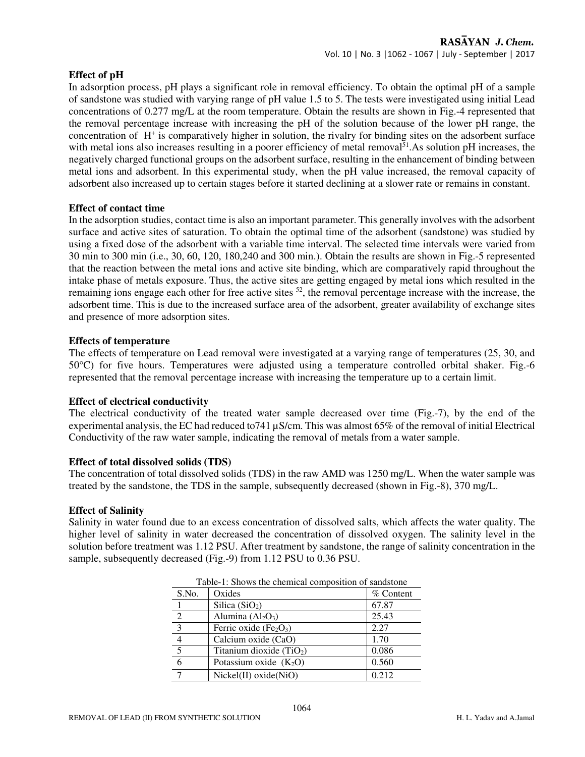#### **Effect of pH**

In adsorption process, pH plays a significant role in removal efficiency. To obtain the optimal pH of a sample of sandstone was studied with varying range of pH value 1.5 to 5. The tests were investigated using initial Lead concentrations of 0.277 mg/L at the room temperature. Obtain the results are shown in Fig.-4 represented that the removal percentage increase with increasing the pH of the solution because of the lower pH range, the concentration of H<sup>+</sup> is comparatively higher in solution, the rivalry for binding sites on the adsorbent surface with metal ions also increases resulting in a poorer efficiency of metal removal<sup>51</sup>. As solution pH increases, the negatively charged functional groups on the adsorbent surface, resulting in the enhancement of binding between metal ions and adsorbent. In this experimental study, when the pH value increased, the removal capacity of adsorbent also increased up to certain stages before it started declining at a slower rate or remains in constant.

#### **Effect of contact time**

In the adsorption studies, contact time is also an important parameter. This generally involves with the adsorbent surface and active sites of saturation. To obtain the optimal time of the adsorbent (sandstone) was studied by using a fixed dose of the adsorbent with a variable time interval. The selected time intervals were varied from 30 min to 300 min (i.e., 30, 60, 120, 180,240 and 300 min.). Obtain the results are shown in Fig.-5 represented that the reaction between the metal ions and active site binding, which are comparatively rapid throughout the intake phase of metals exposure. Thus, the active sites are getting engaged by metal ions which resulted in the remaining ions engage each other for free active sites <sup>52</sup>, the removal percentage increase with the increase, the adsorbent time. This is due to the increased surface area of the adsorbent, greater availability of exchange sites and presence of more adsorption sites.

#### **Effects of temperature**

The effects of temperature on Lead removal were investigated at a varying range of temperatures (25, 30, and 50°C) for five hours. Temperatures were adjusted using a temperature controlled orbital shaker. Fig.-6 represented that the removal percentage increase with increasing the temperature up to a certain limit.

#### **Effect of electrical conductivity**

The electrical conductivity of the treated water sample decreased over time (Fig.-7), by the end of the experimental analysis, the EC had reduced to741 µS/cm. This was almost 65% of the removal of initial Electrical Conductivity of the raw water sample, indicating the removal of metals from a water sample.

#### **Effect of total dissolved solids (TDS)**

The concentration of total dissolved solids (TDS) in the raw AMD was 1250 mg/L. When the water sample was treated by the sandstone, the TDS in the sample, subsequently decreased (shown in Fig.-8), 370 mg/L.

#### **Effect of Salinity**

Salinity in water found due to an excess concentration of dissolved salts, which affects the water quality. The higher level of salinity in water decreased the concentration of dissolved oxygen. The salinity level in the solution before treatment was 1.12 PSU. After treatment by sandstone, the range of salinity concentration in the sample, subsequently decreased (Fig.-9) from 1.12 PSU to 0.36 PSU.

| Tuble 1. Shows the enemied composition of sundstone |                            |             |
|-----------------------------------------------------|----------------------------|-------------|
| S.No.                                               | Oxides                     | $%$ Content |
|                                                     | Silica $(SiO2)$            | 67.87       |
| $\mathcal{L}$                                       | Alumina $(Al2O3)$          | 25.43       |
| $\mathbf{R}$                                        | Ferric oxide $(Fe2O3)$     | 2.27        |
|                                                     | Calcium oxide (CaO)        | 1.70        |
|                                                     | Titanium dioxide $(TiO2)$  | 0.086       |
|                                                     | Potassium oxide $(K_2O)$   | 0.560       |
|                                                     | $Nickel(II)$ oxide $(NiO)$ | 0.212       |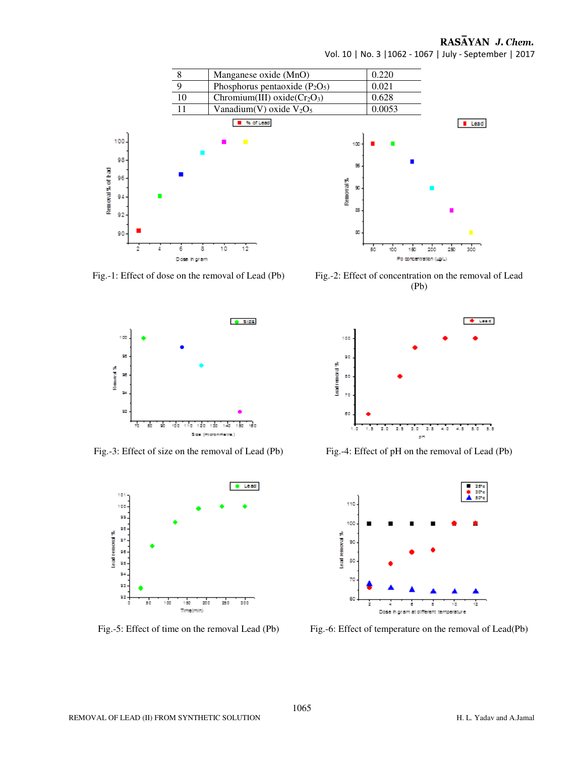

RASAYAN J. Chem.

 $L$ ead

Vol. 10 | No. 3 |1062 - 1067 | July - September | 2017

Fig.-1: Effect of dose on the removal of Lead (Pb) Fig.-2: Effect of concentration on the removal of Lead (Pb)

200

250

300



Fig.-3: Effect of size on the removal of Lead (Pb) Fig.-4: Effect of pH on the removal of Lead (Pb)







Fig.-5: Effect of time on the removal Lead (Pb) Fig.-6: Effect of temperature on the removal of Lead(Pb)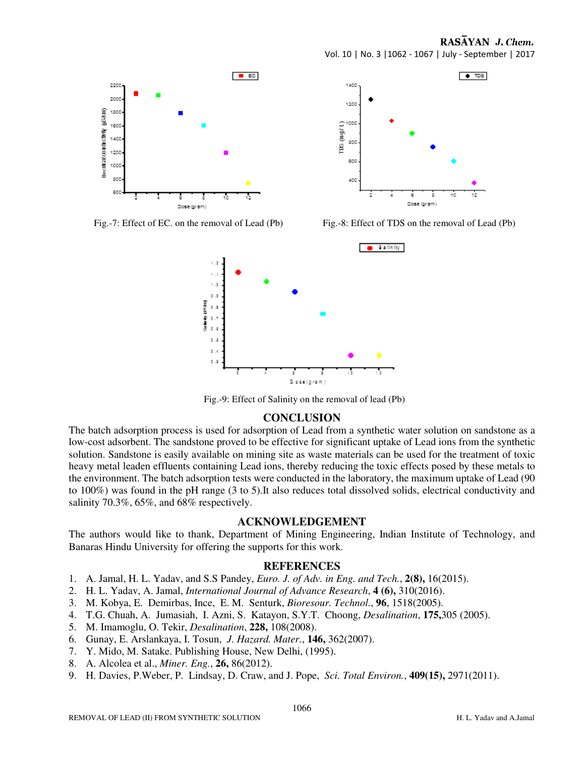RASAYAN J. Chem.

 $\blacksquare$  EC 2200 ood Becifical conductivity (uSAcm) 1800 1600 1400 1200 1000 800 600 Dock



Vol. 10 | No. 3 |1062 - 1067 | July - September | 2017

Fig.-7: Effect of EC. on the removal of Lead (Pb) Fig.-8: Effect of TDS on the removal of Lead (Pb)



Fig.-9: Effect of Salinity on the removal of lead (Pb)

# **CONCLUSION**

The batch adsorption process is used for adsorption of Lead from a synthetic water solution on sandstone as a low-cost adsorbent. The sandstone proved to be effective for significant uptake of Lead ions from the synthetic solution. Sandstone is easily available on mining site as waste materials can be used for the treatment of toxic heavy metal leaden effluents containing Lead ions, thereby reducing the toxic effects posed by these metals to the environment. The batch adsorption tests were conducted in the laboratory, the maximum uptake of Lead (90 to 100%) was found in the pH range (3 to 5).It also reduces total dissolved solids, electrical conductivity and salinity 70.3%, 65%, and 68% respectively.

### **ACKNOWLEDGEMENT**

The authors would like to thank, Department of Mining Engineering, Indian Institute of Technology, and Banaras Hindu University for offering the supports for this work.

### **REFERENCES**

- 1. A. Jamal, H. L. Yadav, and S.S Pandey, *Euro. J. of Adv. in Eng. and Tech.*, **2(8),** 16(2015).
- 2. H. L. Yadav, A. Jamal, *International Journal of Advance Research*, **4 (6),** 310(2016).
- 3. M. Kobya, E. Demirbas, Ince, E. M. Senturk, *Bioresour. Technol.*, **96**, 1518(2005).
- 4. T.G. Chuah, A. Jumasiah, I. Azni, S. Katayon, S.Y.T. Choong, *Desalination*, **175,**305 (2005).
- 5. M. Imamoglu, O. Tekir, *Desalination*, **228,** 108(2008).
- 6. Gunay, E. Arslankaya, I. Tosun, *J. Hazard. Mater.*, **146,** 362(2007).
- 7. Y. Mido, M. Satake. Publishing House, New Delhi, (1995).
- 8. A. Alcolea et al., *Miner. Eng.*, **26,** 86(2012).
- 9. H. Davies, P.Weber, P. Lindsay, D. Craw, and J. Pope, *Sci. Total Environ.*, **409(15),** 2971(2011).